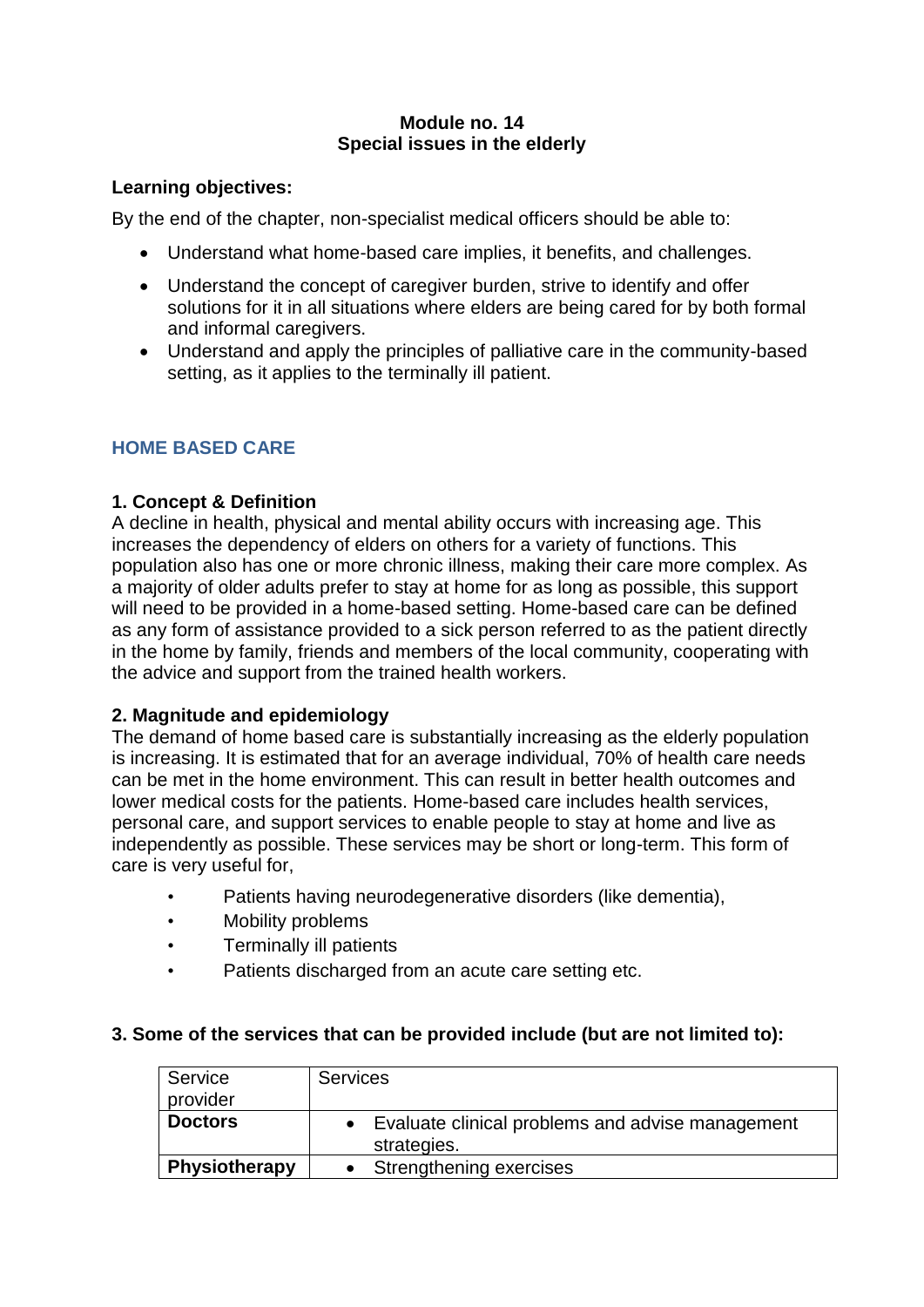# **Module no. 14 Special issues in the elderly**

# **Learning objectives:**

By the end of the chapter, non-specialist medical officers should be able to:

- Understand what home-based care implies, it benefits, and challenges.
- Understand the concept of caregiver burden, strive to identify and offer solutions for it in all situations where elders are being cared for by both formal and informal caregivers.
- Understand and apply the principles of palliative care in the community-based setting, as it applies to the terminally ill patient.

# **HOME BASED CARE**

# **1. Concept & Definition**

A decline in health, physical and mental ability occurs with increasing age. This increases the dependency of elders on others for a variety of functions. This population also has one or more chronic illness, making their care more complex. As a majority of older adults prefer to stay at home for as long as possible, this support will need to be provided in a home-based setting. Home-based care can be defined as any form of assistance provided to a sick person referred to as the patient directly in the home by family, friends and members of the local community, cooperating with the advice and support from the trained health workers.

# **2. Magnitude and epidemiology**

The demand of home based care is substantially increasing as the elderly population is increasing. It is estimated that for an average individual, 70% of health care needs can be met in the home environment. This can result in better health outcomes and lower medical costs for the patients. Home-based care includes health services, personal care, and support services to enable people to stay at home and live as independently as possible. These services may be short or long-term. This form of care is very useful for,

- Patients having neurodegenerative disorders (like dementia),
- Mobility problems
- Terminally ill patients
- Patients discharged from an acute care setting etc.

## **3. Some of the services that can be provided include (but are not limited to):**

| Service<br>provider  | <b>Services</b>                                                   |
|----------------------|-------------------------------------------------------------------|
| <b>Doctors</b>       | • Evaluate clinical problems and advise management<br>strategies. |
| <b>Physiotherapy</b> | Strengthening exercises                                           |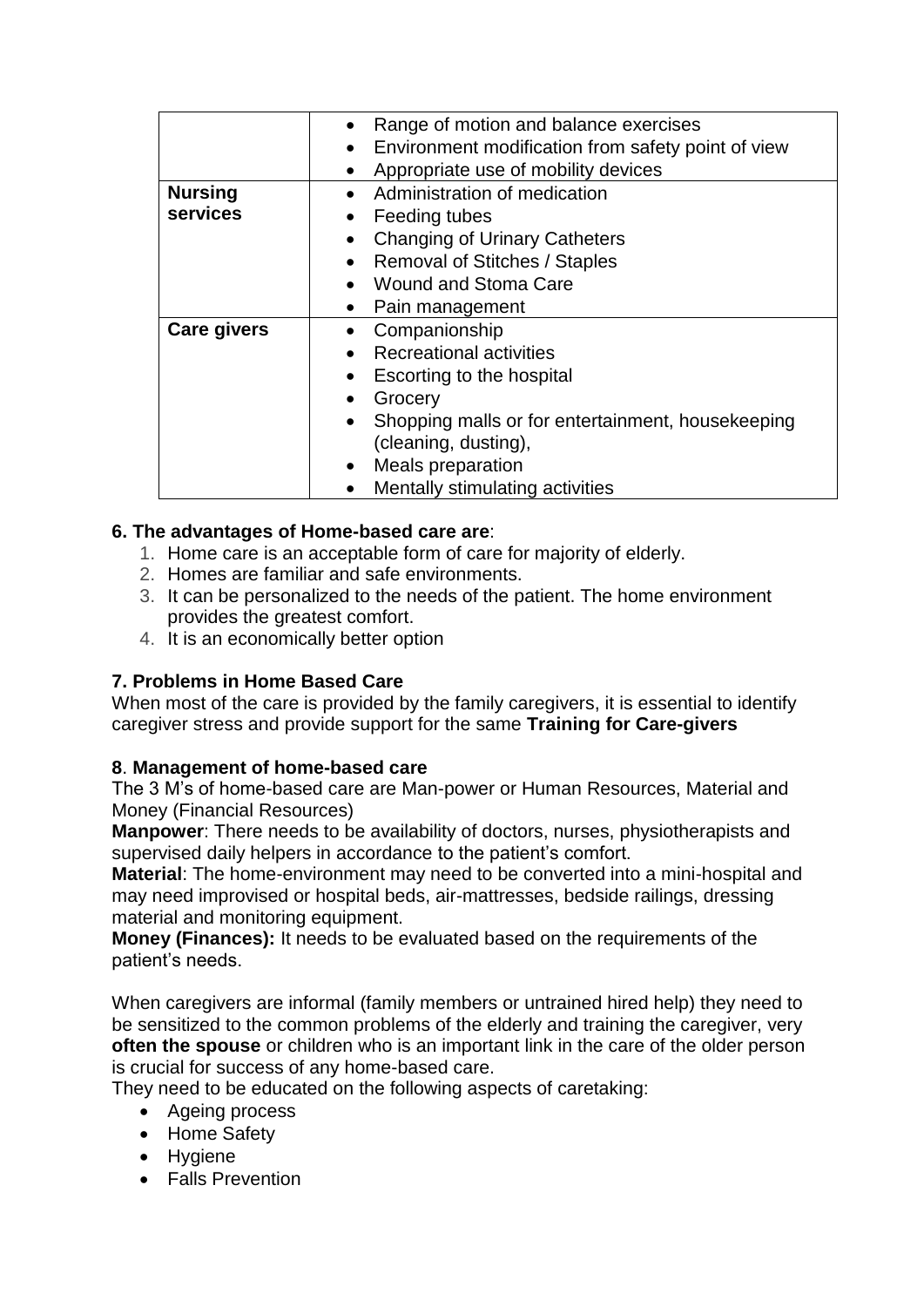|                    | Range of motion and balance exercises                           |
|--------------------|-----------------------------------------------------------------|
|                    | Environment modification from safety point of view<br>$\bullet$ |
|                    | Appropriate use of mobility devices<br>$\bullet$                |
| <b>Nursing</b>     | Administration of medication                                    |
| services           | Feeding tubes<br>$\bullet$                                      |
|                    | <b>Changing of Urinary Catheters</b>                            |
|                    | <b>Removal of Stitches / Staples</b><br>$\bullet$               |
|                    | <b>Wound and Stoma Care</b>                                     |
|                    | Pain management<br>$\bullet$                                    |
| <b>Care givers</b> | Companionship                                                   |
|                    | <b>Recreational activities</b>                                  |
|                    | Escorting to the hospital                                       |
|                    | Grocery                                                         |
|                    | Shopping malls or for entertainment, housekeeping<br>$\bullet$  |
|                    | (cleaning, dusting),                                            |
|                    | Meals preparation<br>$\bullet$                                  |
|                    | Mentally stimulating activities                                 |

# **6. The advantages of Home-based care are**:

- 1. Home care is an acceptable form of care for majority of elderly.
- 2. Homes are familiar and safe environments.
- 3. It can be personalized to the needs of the patient. The home environment provides the greatest comfort.
- 4. It is an economically better option

# **7. Problems in Home Based Care**

When most of the care is provided by the family caregivers, it is essential to identify caregiver stress and provide support for the same **Training for Care-givers**

# **8**. **Management of home-based care**

The 3 M's of home-based care are Man-power or Human Resources, Material and Money (Financial Resources)

**Manpower**: There needs to be availability of doctors, nurses, physiotherapists and supervised daily helpers in accordance to the patient's comfort.

**Material**: The home-environment may need to be converted into a mini-hospital and may need improvised or hospital beds, air-mattresses, bedside railings, dressing material and monitoring equipment.

**Money (Finances):** It needs to be evaluated based on the requirements of the patient's needs.

When caregivers are informal (family members or untrained hired help) they need to be sensitized to the common problems of the elderly and training the caregiver, very **often the spouse** or children who is an important link in the care of the older person is crucial for success of any home-based care.

They need to be educated on the following aspects of caretaking:

- Ageing process
- Home Safety
- Hygiene
- Falls Prevention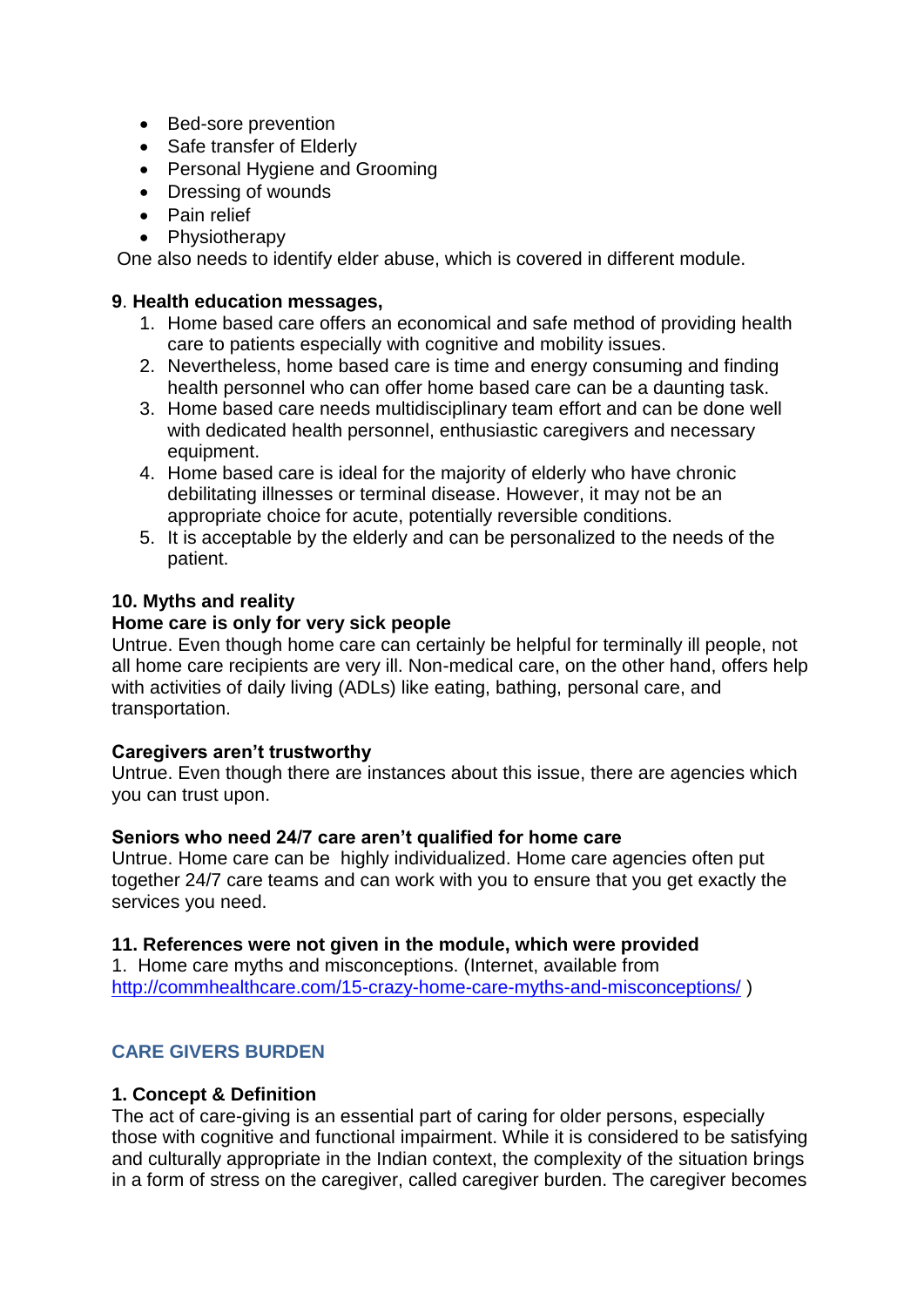- Bed-sore prevention
- Safe transfer of Elderly
- Personal Hygiene and Grooming
- Dressing of wounds
- Pain relief
- Physiotherapy

One also needs to identify elder abuse, which is covered in different module.

## **9**. **Health education messages,**

- 1. Home based care offers an economical and safe method of providing health care to patients especially with cognitive and mobility issues.
- 2. Nevertheless, home based care is time and energy consuming and finding health personnel who can offer home based care can be a daunting task.
- 3. Home based care needs multidisciplinary team effort and can be done well with dedicated health personnel, enthusiastic caregivers and necessary equipment.
- 4. Home based care is ideal for the majority of elderly who have chronic debilitating illnesses or terminal disease. However, it may not be an appropriate choice for acute, potentially reversible conditions.
- 5. It is acceptable by the elderly and can be personalized to the needs of the patient.

# **10. Myths and reality**

## **Home care is only for very sick people**

Untrue. Even though home care can certainly be helpful for terminally ill people, not all home care recipients are very ill. Non-medical care, on the other hand, offers help with activities of daily living (ADLs) like eating, bathing, personal care, and transportation.

## **Caregivers aren't trustworthy**

Untrue. Even though there are instances about this issue, there are agencies which you can trust upon.

## **Seniors who need 24/7 care aren't qualified for home care**

Untrue. Home care can be highly individualized. Home care agencies often put together 24/7 care teams and can work with you to ensure that you get exactly the services you need.

## **11. References were not given in the module, which were provided**

1. Home care myths and misconceptions. (Internet, available from <http://commhealthcare.com/15-crazy-home-care-myths-and-misconceptions/> )

# **CARE GIVERS BURDEN**

## **1. Concept & Definition**

The act of care-giving is an essential part of caring for older persons, especially those with cognitive and functional impairment. While it is considered to be satisfying and culturally appropriate in the Indian context, the complexity of the situation brings in a form of stress on the caregiver, called caregiver burden. The caregiver becomes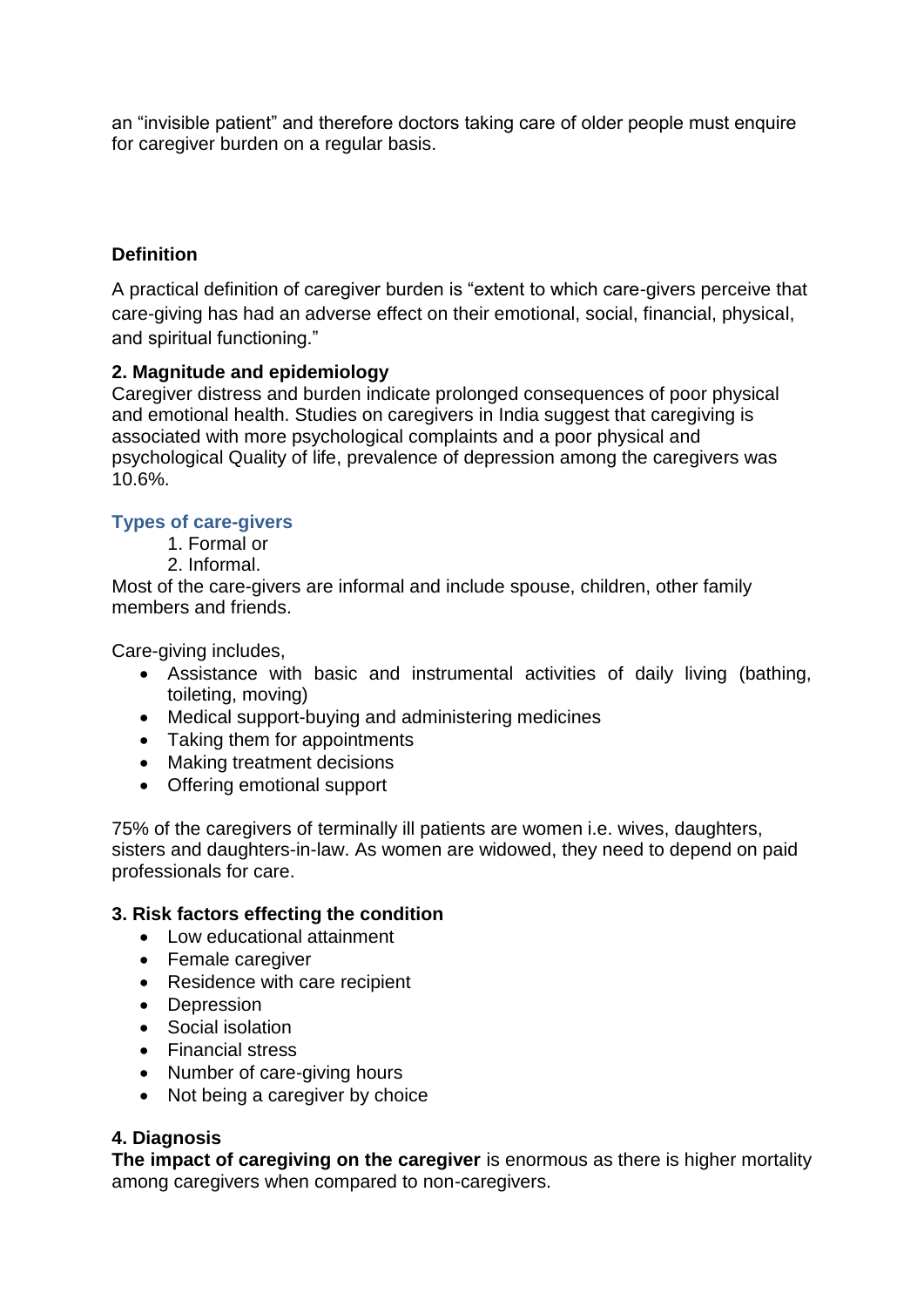an "invisible patient" and therefore doctors taking care of older people must enquire for caregiver burden on a regular basis.

# **Definition**

A practical definition of caregiver burden is "extent to which care-givers perceive that care-giving has had an adverse effect on their emotional, social, financial, physical, and spiritual functioning."

# **2. Magnitude and epidemiology**

Caregiver distress and burden indicate prolonged consequences of poor physical and emotional health. Studies on caregivers in India suggest that caregiving is associated with more psychological complaints and a poor physical and psychological Quality of life, prevalence of depression among the caregivers was 10.6%.

# **Types of care-givers**

- 1. Formal or
	- 2. Informal.

Most of the care-givers are informal and include spouse, children, other family members and friends.

Care-giving includes,

- Assistance with basic and instrumental activities of daily living (bathing, toileting, moving)
- Medical support-buying and administering medicines
- Taking them for appointments
- Making treatment decisions
- Offering emotional support

75% of the caregivers of terminally ill patients are women i.e. wives, daughters, sisters and daughters-in-law. As women are widowed, they need to depend on paid professionals for care.

## **3. Risk factors effecting the condition**

- Low educational attainment
- Female caregiver
- Residence with care recipient
- Depression
- Social isolation
- Financial stress
- Number of care-giving hours
- Not being a caregiver by choice

# **4. Diagnosis**

**The impact of caregiving on the caregiver** is enormous as there is higher mortality among caregivers when compared to non-caregivers.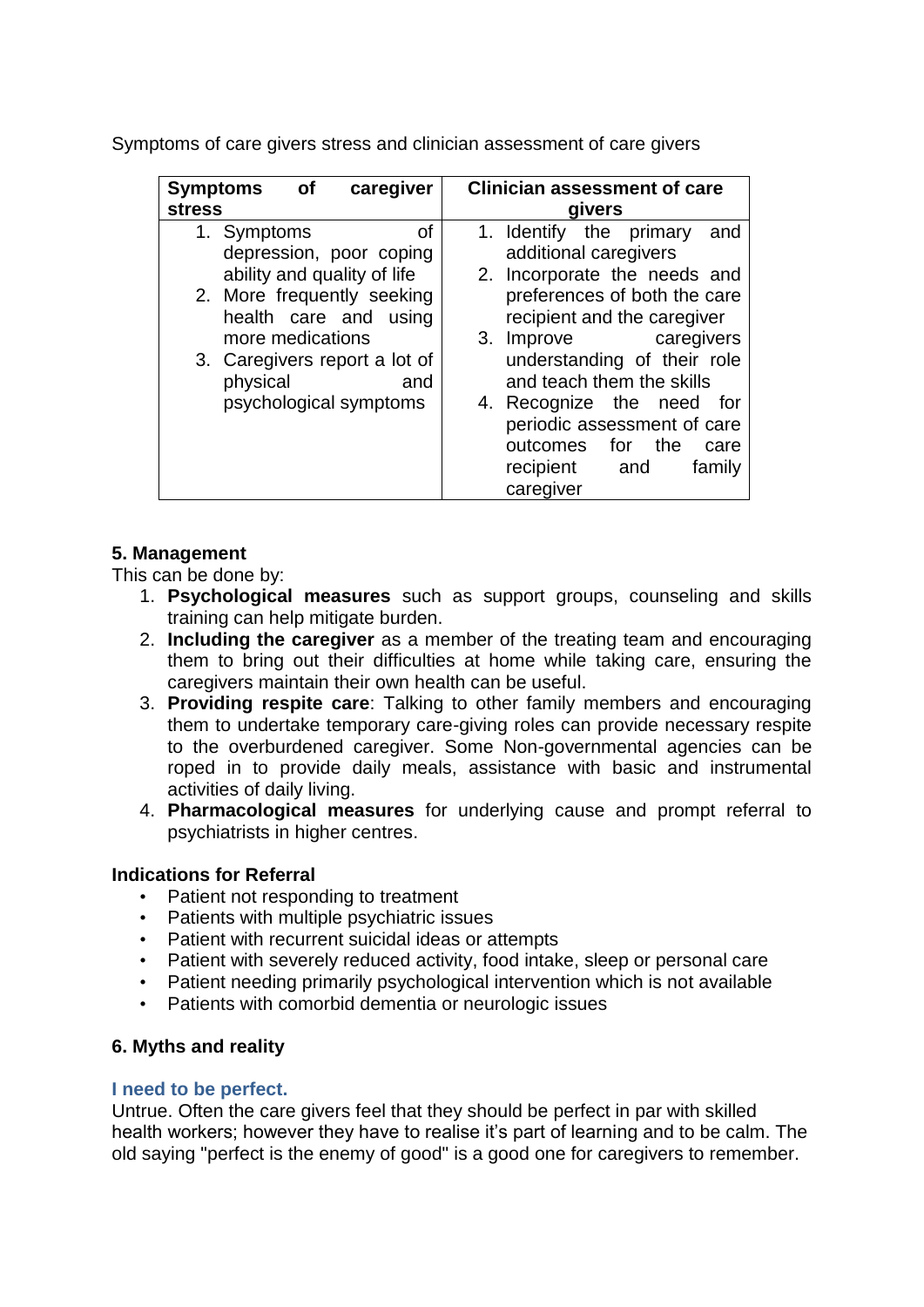Symptoms of care givers stress and clinician assessment of care givers

| <b>Symptoms</b><br><b>of</b><br>caregiver                 | <b>Clinician assessment of care</b>                                                              |
|-----------------------------------------------------------|--------------------------------------------------------------------------------------------------|
| <b>stress</b>                                             | givers                                                                                           |
| οf<br>1. Symptoms<br>depression, poor coping              | 1. Identify the primary<br>and<br>additional caregivers                                          |
| ability and quality of life<br>2. More frequently seeking | 2. Incorporate the needs and<br>preferences of both the care                                     |
| health care and using<br>more medications                 | recipient and the caregiver<br>3. Improve caregivers                                             |
| 3. Caregivers report a lot of<br>physical<br>and          | understanding of their role<br>and teach them the skills                                         |
| psychological symptoms                                    | 4. Recognize the<br>need<br>tor<br>periodic assessment of care<br>for<br>outcomes<br>the<br>care |
|                                                           | recipient<br>and<br>family<br>caregiver                                                          |

# **5. Management**

This can be done by:

- 1. **Psychological measures** such as support groups, counseling and skills training can help mitigate burden.
- 2. **Including the caregiver** as a member of the treating team and encouraging them to bring out their difficulties at home while taking care, ensuring the caregivers maintain their own health can be useful.
- 3. **Providing respite care**: Talking to other family members and encouraging them to undertake temporary care-giving roles can provide necessary respite to the overburdened caregiver. Some Non-governmental agencies can be roped in to provide daily meals, assistance with basic and instrumental activities of daily living.
- 4. **Pharmacological measures** for underlying cause and prompt referral to psychiatrists in higher centres.

## **Indications for Referral**

- Patient not responding to treatment
- Patients with multiple psychiatric issues
- Patient with recurrent suicidal ideas or attempts
- Patient with severely reduced activity, food intake, sleep or personal care
- Patient needing primarily psychological intervention which is not available
- Patients with comorbid dementia or neurologic issues

# **6. Myths and reality**

## **I need to be perfect.**

Untrue. Often the care givers feel that they should be perfect in par with skilled health workers; however they have to realise it's part of learning and to be calm. The old saying "perfect is the enemy of good" is a good one for caregivers to remember.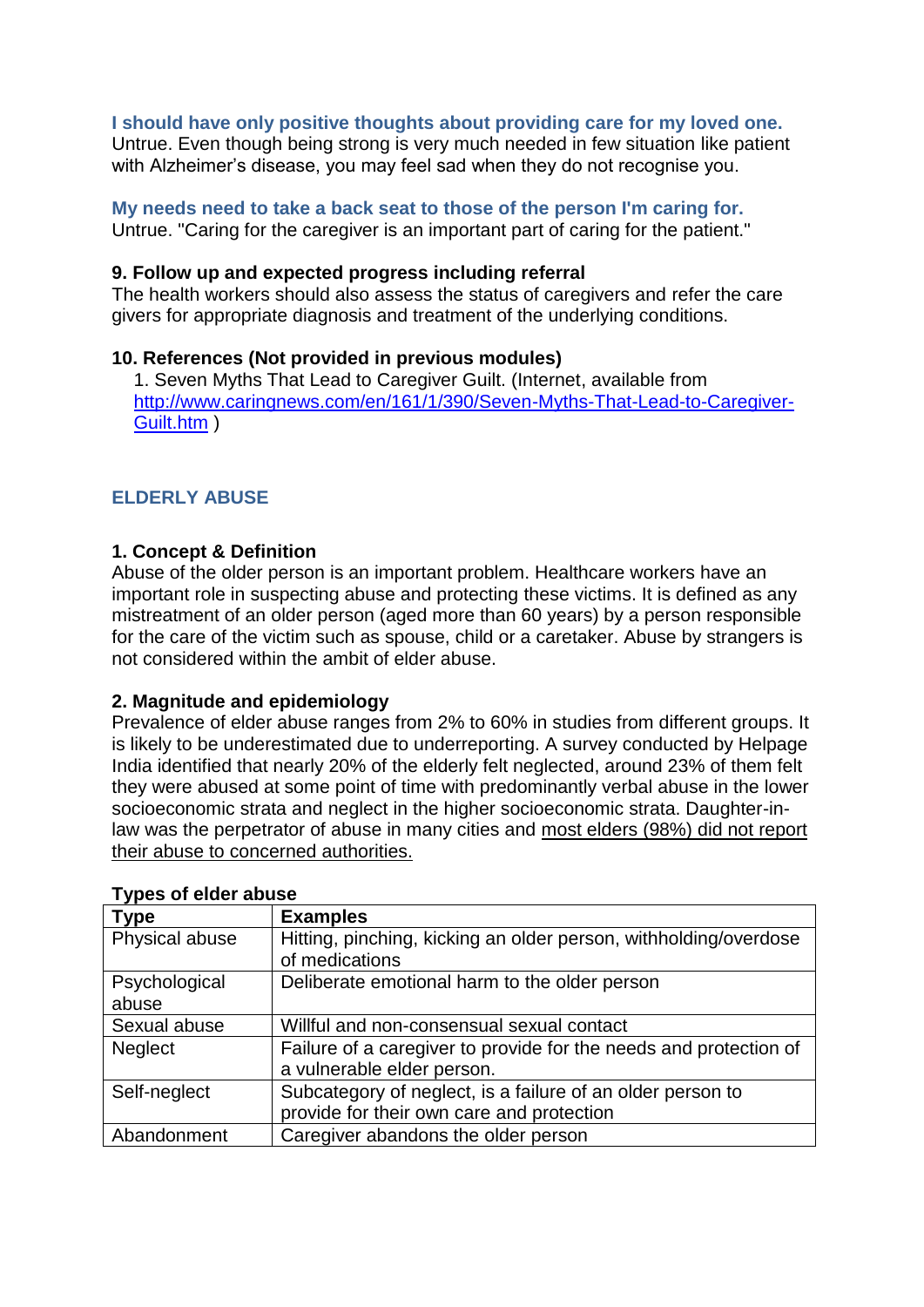### **I should have only positive thoughts about providing care for my loved one.**

Untrue. Even though being strong is very much needed in few situation like patient with Alzheimer's disease, you may feel sad when they do not recognise you.

**My needs need to take a back seat to those of the person I'm caring for.** Untrue. "Caring for the caregiver is an important part of caring for the patient."

#### **9. Follow up and expected progress including referral**

The health workers should also assess the status of caregivers and refer the care givers for appropriate diagnosis and treatment of the underlying conditions.

#### **10. References (Not provided in previous modules)**

1. Seven Myths That Lead to Caregiver Guilt. (Internet, available from [http://www.caringnews.com/en/161/1/390/Seven-Myths-That-Lead-to-Caregiver-](http://www.caringnews.com/en/161/1/390/Seven-Myths-That-Lead-to-Caregiver-Guilt.htm)[Guilt.htm](http://www.caringnews.com/en/161/1/390/Seven-Myths-That-Lead-to-Caregiver-Guilt.htm) )

### **ELDERLY ABUSE**

#### **1. Concept & Definition**

Abuse of the older person is an important problem. Healthcare workers have an important role in suspecting abuse and protecting these victims. It is defined as any mistreatment of an older person (aged more than 60 years) by a person responsible for the care of the victim such as spouse, child or a caretaker. Abuse by strangers is not considered within the ambit of elder abuse.

#### **2. Magnitude and epidemiology**

Prevalence of elder abuse ranges from 2% to 60% in studies from different groups. It is likely to be underestimated due to underreporting. A survey conducted by Helpage India identified that nearly 20% of the elderly felt neglected, around 23% of them felt they were abused at some point of time with predominantly verbal abuse in the lower socioeconomic strata and neglect in the higher socioeconomic strata. Daughter-inlaw was the perpetrator of abuse in many cities and most elders (98%) did not report their abuse to concerned authorities.

| <b>Type</b>    | <b>Examples</b>                                                   |
|----------------|-------------------------------------------------------------------|
| Physical abuse | Hitting, pinching, kicking an older person, withholding/overdose  |
|                | of medications                                                    |
| Psychological  | Deliberate emotional harm to the older person                     |
| abuse          |                                                                   |
| Sexual abuse   | Willful and non-consensual sexual contact                         |
| <b>Neglect</b> | Failure of a caregiver to provide for the needs and protection of |
|                | a vulnerable elder person.                                        |
| Self-neglect   | Subcategory of neglect, is a failure of an older person to        |
|                | provide for their own care and protection                         |
| Abandonment    | Caregiver abandons the older person                               |

#### **Types of elder abuse**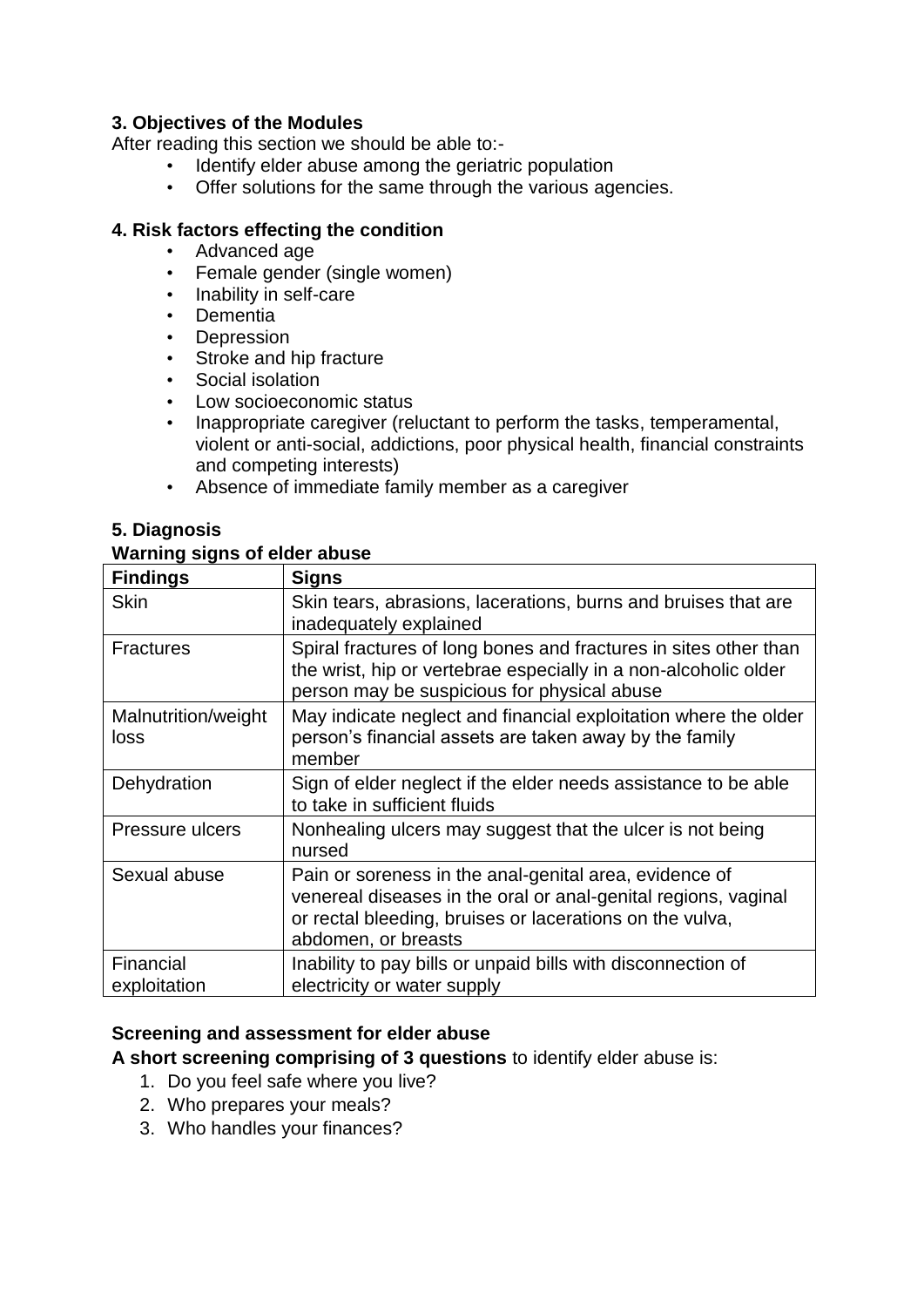# **3. Objectives of the Modules**

After reading this section we should be able to:-

- Identify elder abuse among the geriatric population
- Offer solutions for the same through the various agencies.

# **4. Risk factors effecting the condition**

- Advanced age
- Female gender (single women)
- Inability in self-care
- Dementia
- Depression
- Stroke and hip fracture
- Social isolation
- Low socioeconomic status
- Inappropriate caregiver (reluctant to perform the tasks, temperamental, violent or anti-social, addictions, poor physical health, financial constraints and competing interests)
- Absence of immediate family member as a caregiver

# **5. Diagnosis**

# **Warning signs of elder abuse**

| <b>Findings</b>             | <b>Signs</b>                                                                                                                                                                                                |
|-----------------------------|-------------------------------------------------------------------------------------------------------------------------------------------------------------------------------------------------------------|
| <b>Skin</b>                 | Skin tears, abrasions, lacerations, burns and bruises that are<br>inadequately explained                                                                                                                    |
| <b>Fractures</b>            | Spiral fractures of long bones and fractures in sites other than<br>the wrist, hip or vertebrae especially in a non-alcoholic older<br>person may be suspicious for physical abuse                          |
| Malnutrition/weight<br>loss | May indicate neglect and financial exploitation where the older<br>person's financial assets are taken away by the family<br>member                                                                         |
| Dehydration                 | Sign of elder neglect if the elder needs assistance to be able<br>to take in sufficient fluids                                                                                                              |
| Pressure ulcers             | Nonhealing ulcers may suggest that the ulcer is not being<br>nursed                                                                                                                                         |
| Sexual abuse                | Pain or soreness in the anal-genital area, evidence of<br>venereal diseases in the oral or anal-genital regions, vaginal<br>or rectal bleeding, bruises or lacerations on the vulva,<br>abdomen, or breasts |
| Financial<br>exploitation   | Inability to pay bills or unpaid bills with disconnection of<br>electricity or water supply                                                                                                                 |

# **Screening and assessment for elder abuse**

**A short screening comprising of 3 questions** to identify elder abuse is:

- 1. Do you feel safe where you live?
- 2. Who prepares your meals?
- 3. Who handles your finances?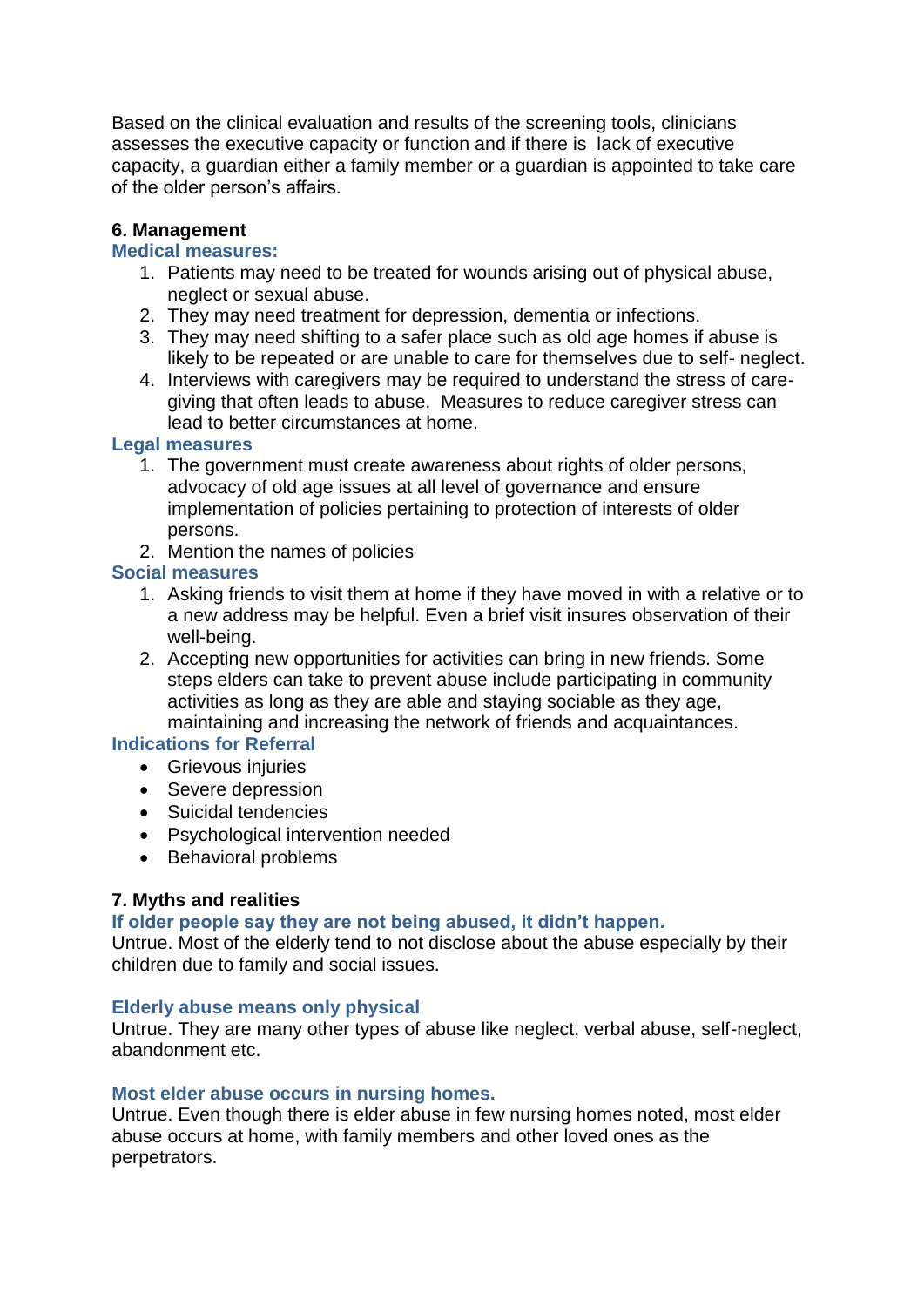Based on the clinical evaluation and results of the screening tools, clinicians assesses the executive capacity or function and if there is lack of executive capacity, a guardian either a family member or a guardian is appointed to take care of the older person's affairs.

# **6. Management**

## **Medical measures:**

- 1. Patients may need to be treated for wounds arising out of physical abuse, neglect or sexual abuse.
- 2. They may need treatment for depression, dementia or infections.
- 3. They may need shifting to a safer place such as old age homes if abuse is likely to be repeated or are unable to care for themselves due to self- neglect.
- 4. Interviews with caregivers may be required to understand the stress of caregiving that often leads to abuse. Measures to reduce caregiver stress can lead to better circumstances at home.

### **Legal measures**

- 1. The government must create awareness about rights of older persons, advocacy of old age issues at all level of governance and ensure implementation of policies pertaining to protection of interests of older persons.
- 2. Mention the names of policies

## **Social measures**

- 1. Asking friends to visit them at home if they have moved in with a relative or to a new address may be helpful. Even a brief visit insures observation of their well-being.
- 2. Accepting new opportunities for activities can bring in new friends. Some steps elders can take to prevent abuse include participating in community activities as long as they are able and staying sociable as they age, maintaining and increasing the network of friends and acquaintances.

## **Indications for Referral**

- Grievous injuries
- Severe depression
- Suicidal tendencies
- Psychological intervention needed
- Behavioral problems

## **7. Myths and realities**

## **If older people say they are not being abused, it didn't happen.**

Untrue. Most of the elderly tend to not disclose about the abuse especially by their children due to family and social issues.

## **Elderly abuse means only physical**

Untrue. They are many other types of abuse like neglect, verbal abuse, self-neglect, abandonment etc.

## **Most elder abuse occurs in nursing homes.**

Untrue. Even though there is elder abuse in few nursing homes noted, most elder abuse occurs at home, with family members and other loved ones as the perpetrators.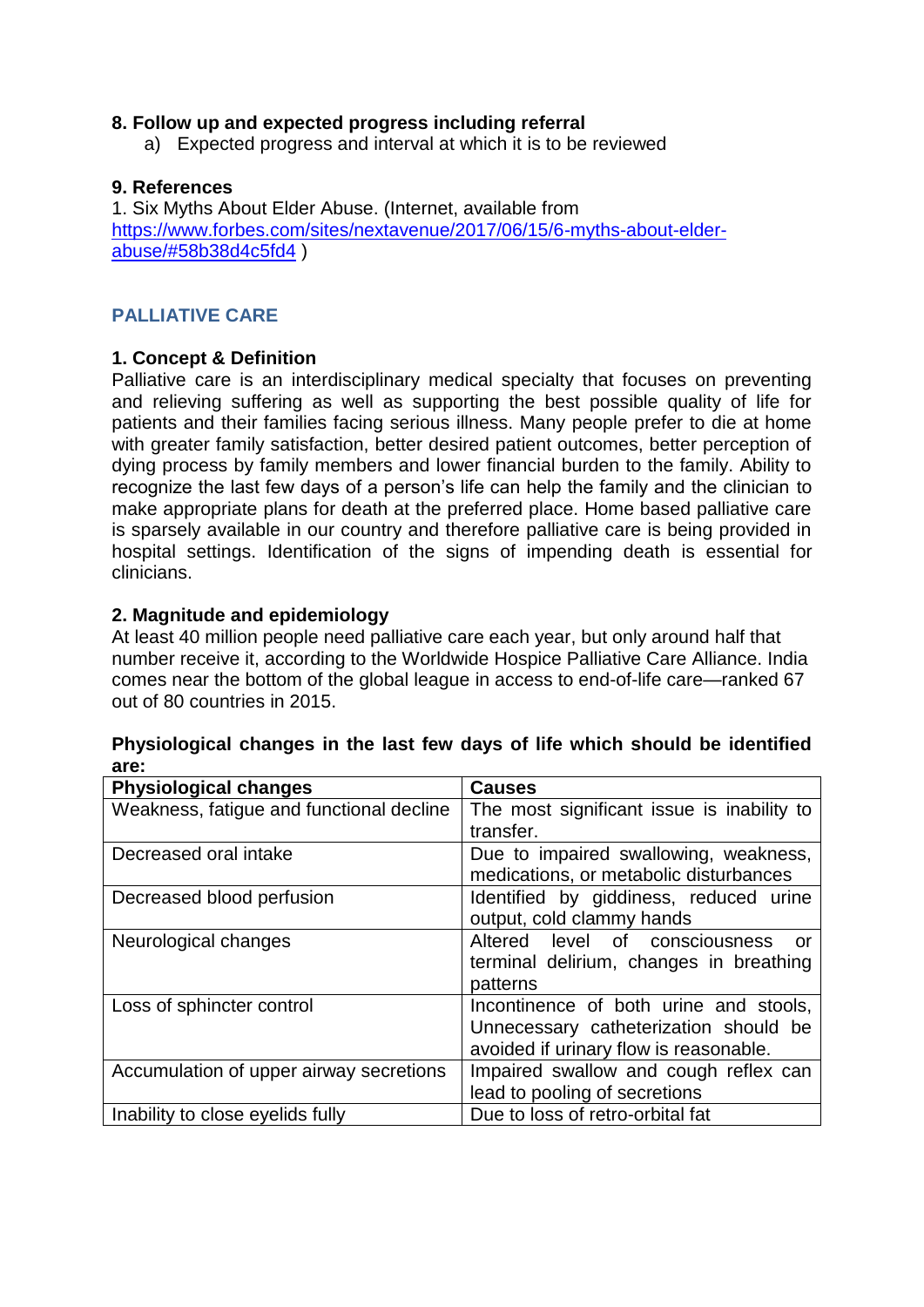## **8. Follow up and expected progress including referral**

a) Expected progress and interval at which it is to be reviewed

## **9. References**

1. Six Myths About Elder Abuse. (Internet, available from [https://www.forbes.com/sites/nextavenue/2017/06/15/6-myths-about-elder](https://www.forbes.com/sites/nextavenue/2017/06/15/6-myths-about-elder-abuse/#58b38d4c5fd4)[abuse/#58b38d4c5fd4](https://www.forbes.com/sites/nextavenue/2017/06/15/6-myths-about-elder-abuse/#58b38d4c5fd4) )

# **PALLIATIVE CARE**

# **1. Concept & Definition**

Palliative care is an interdisciplinary medical specialty that focuses on preventing and relieving suffering as well as supporting the best possible quality of life for patients and their families facing serious illness. Many people prefer to die at home with greater family satisfaction, better desired patient outcomes, better perception of dying process by family members and lower financial burden to the family. Ability to recognize the last few days of a person's life can help the family and the clinician to make appropriate plans for death at the preferred place. Home based palliative care is sparsely available in our country and therefore palliative care is being provided in hospital settings. Identification of the signs of impending death is essential for clinicians.

# **2. Magnitude and epidemiology**

At least 40 million people need palliative care each year, but only around half that number receive it, according to the Worldwide Hospice Palliative Care Alliance. India comes near the bottom of the global league in access to end-of-life care—ranked 67 out of 80 countries in 2015.

| <b>Physiological changes</b>             | <b>Causes</b>                              |
|------------------------------------------|--------------------------------------------|
| Weakness, fatigue and functional decline | The most significant issue is inability to |
|                                          | transfer.                                  |
| Decreased oral intake                    | Due to impaired swallowing, weakness,      |
|                                          | medications, or metabolic disturbances     |
| Decreased blood perfusion                | Identified by giddiness, reduced urine     |
|                                          | output, cold clammy hands                  |
| Neurological changes                     | Altered level of consciousness<br>or       |
|                                          | terminal delirium, changes in breathing    |
|                                          | patterns                                   |
| Loss of sphincter control                | Incontinence of both urine and stools,     |
|                                          | Unnecessary catheterization should be      |
|                                          | avoided if urinary flow is reasonable.     |
| Accumulation of upper airway secretions  | Impaired swallow and cough reflex can      |
|                                          | lead to pooling of secretions              |
| Inability to close eyelids fully         | Due to loss of retro-orbital fat           |

# **Physiological changes in the last few days of life which should be identified are:**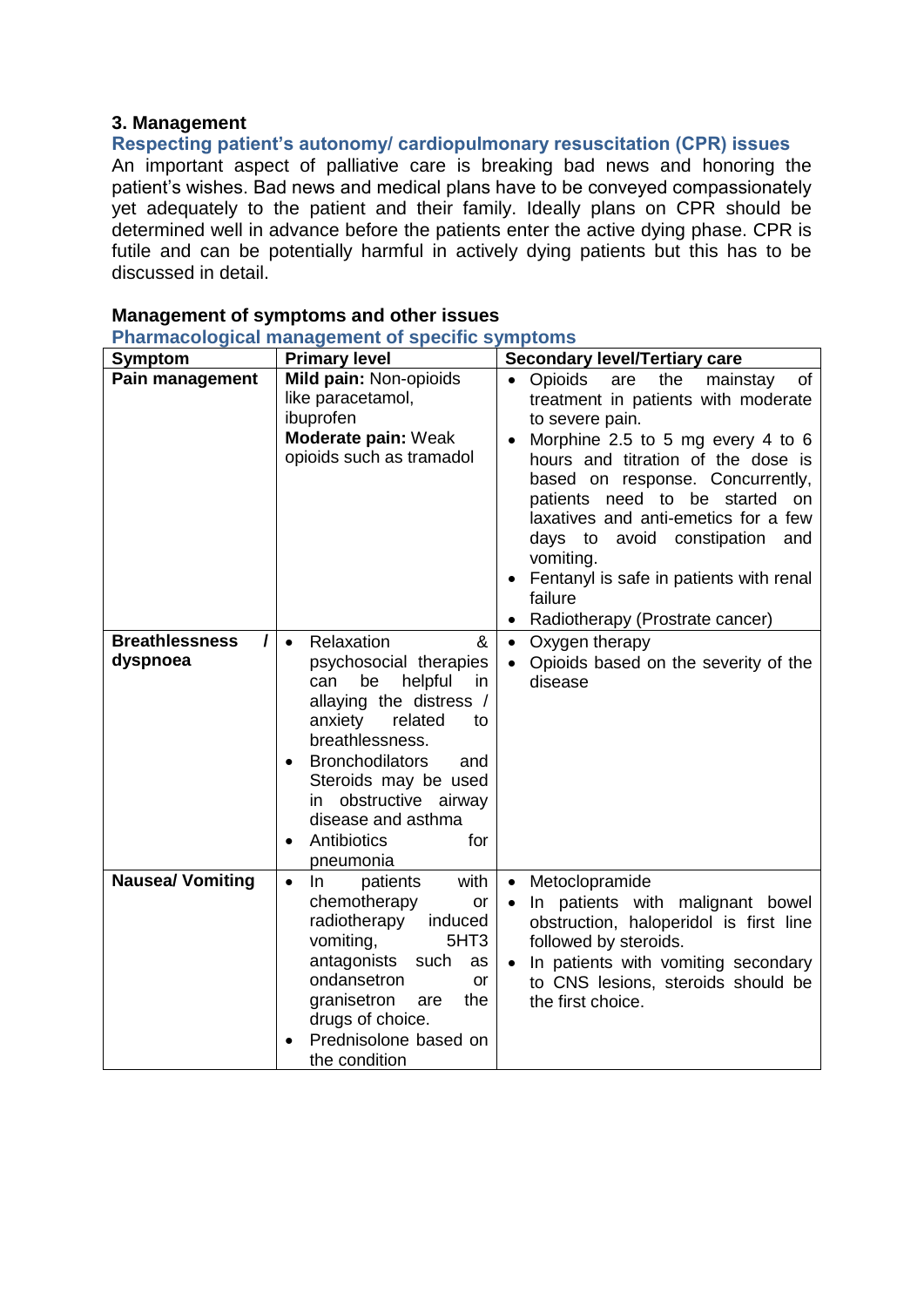## **3. Management**

**Respecting patient's autonomy/ cardiopulmonary resuscitation (CPR) issues**

An important aspect of palliative care is breaking bad news and honoring the patient's wishes. Bad news and medical plans have to be conveyed compassionately yet adequately to the patient and their family. Ideally plans on CPR should be determined well in advance before the patients enter the active dying phase. CPR is futile and can be potentially harmful in actively dying patients but this has to be discussed in detail.

| <b>Symptom</b>                    | <b>Primary level</b>                                                                                                                                                                                                                                                                                                                    | <b>Secondary level/Tertiary care</b>                                                                                                                                                                                                                                                                                                                                                                                                                                             |
|-----------------------------------|-----------------------------------------------------------------------------------------------------------------------------------------------------------------------------------------------------------------------------------------------------------------------------------------------------------------------------------------|----------------------------------------------------------------------------------------------------------------------------------------------------------------------------------------------------------------------------------------------------------------------------------------------------------------------------------------------------------------------------------------------------------------------------------------------------------------------------------|
| Pain management                   | Mild pain: Non-opioids<br>like paracetamol,<br>ibuprofen<br>Moderate pain: Weak<br>opioids such as tramadol                                                                                                                                                                                                                             | <b>Opioids</b><br>the<br>are<br>mainstay<br>of<br>treatment in patients with moderate<br>to severe pain.<br>Morphine 2.5 to 5 mg every 4 to 6<br>$\bullet$<br>hours and titration of the dose is<br>based on response. Concurrently,<br>patients need to be started on<br>laxatives and anti-emetics for a few<br>days to avoid constipation and<br>vomiting.<br>Fentanyl is safe in patients with renal<br>$\bullet$<br>failure<br>Radiotherapy (Prostrate cancer)<br>$\bullet$ |
| <b>Breathlessness</b><br>dyspnoea | Relaxation<br>&<br>$\bullet$<br>psychosocial therapies<br>helpful<br>can<br>be<br>in.<br>allaying the distress /<br>related<br>anxiety<br>to<br>breathlessness.<br><b>Bronchodilators</b><br>and<br>$\bullet$<br>Steroids may be used<br>obstructive airway<br>in<br>disease and asthma<br>Antibiotics<br>for<br>$\bullet$<br>pneumonia | Oxygen therapy<br>$\bullet$<br>Opioids based on the severity of the<br>$\bullet$<br>disease                                                                                                                                                                                                                                                                                                                                                                                      |
| <b>Nausea/ Vomiting</b>           | with<br>patients<br>In.<br>$\bullet$<br>chemotherapy<br>or<br>radiotherapy<br>induced<br>vomiting,<br>5HT <sub>3</sub><br>antagonists such<br>as<br>ondansetron<br>or<br>granisetron<br>the<br>are<br>drugs of choice.<br>Prednisolone based on<br>the condition                                                                        | Metoclopramide<br>$\bullet$<br>In patients with malignant bowel<br>$\bullet$<br>obstruction, haloperidol is first line<br>followed by steroids.<br>In patients with vomiting secondary<br>$\bullet$<br>to CNS lesions, steroids should be<br>the first choice.                                                                                                                                                                                                                   |

## **Management of symptoms and other issues**

**Pharmacological management of specific symptoms**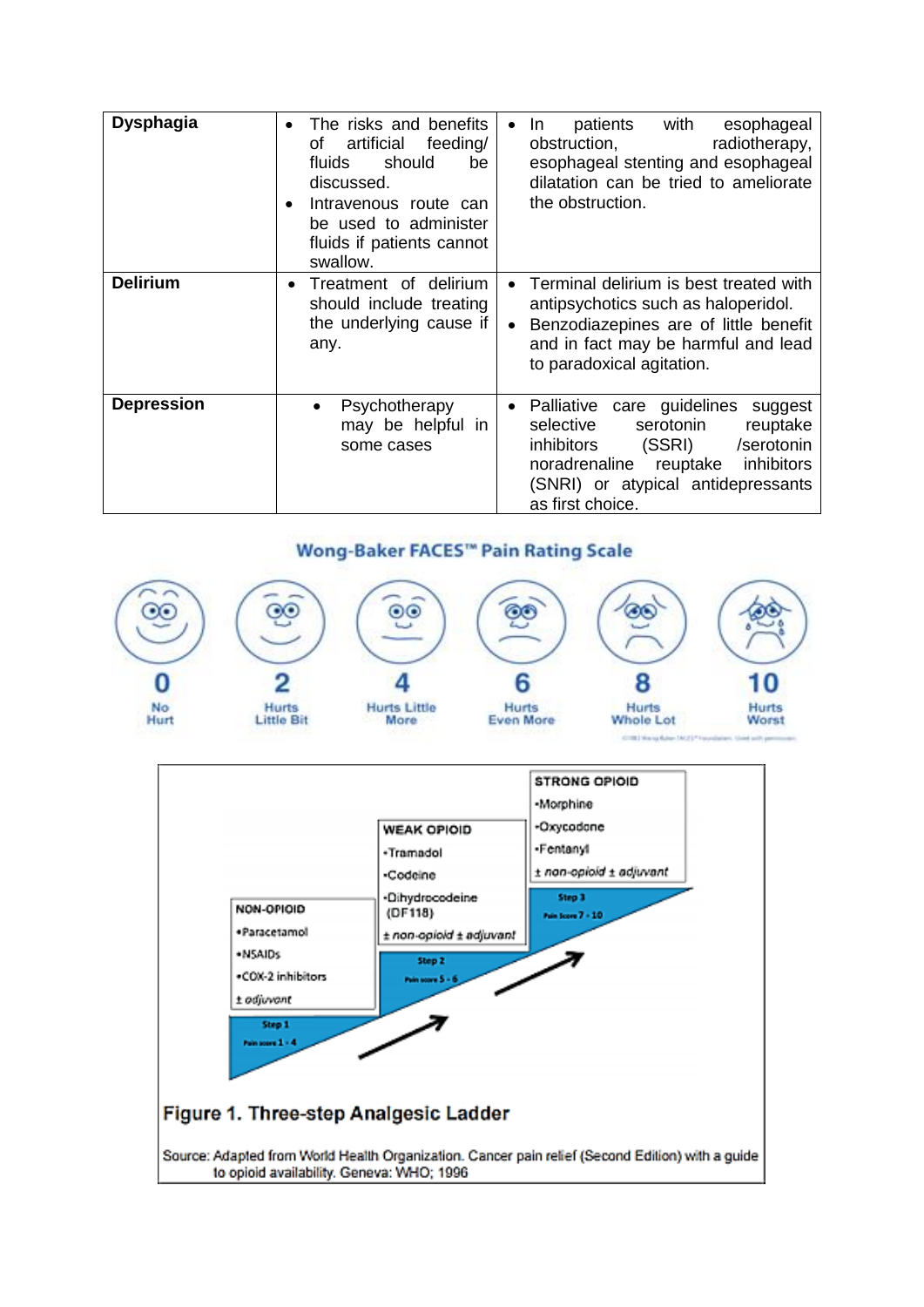| <b>Dysphagia</b>  | The risks and benefits<br>artificial feeding/<br>οf<br>should<br>fluids<br>be<br>discussed.<br>Intravenous route can<br>$\bullet$<br>be used to administer<br>fluids if patients cannot<br>swallow. | patients with<br>esophageal<br>In.<br>obstruction,<br>radiotherapy,<br>esophageal stenting and esophageal<br>dilatation can be tried to ameliorate<br>the obstruction.                                                                  |
|-------------------|-----------------------------------------------------------------------------------------------------------------------------------------------------------------------------------------------------|-----------------------------------------------------------------------------------------------------------------------------------------------------------------------------------------------------------------------------------------|
| <b>Delirium</b>   | Treatment of delirium<br>٠<br>should include treating<br>the underlying cause if<br>any.                                                                                                            | Terminal delirium is best treated with<br>$\bullet$<br>antipsychotics such as haloperidol.<br>Benzodiazepines are of little benefit<br>and in fact may be harmful and lead<br>to paradoxical agitation.                                 |
| <b>Depression</b> | Psychotherapy<br>$\bullet$<br>may be helpful in<br>some cases                                                                                                                                       | Palliative care guidelines<br>suggest<br>$\bullet$<br>reuptake<br>selective<br>serotonin<br>(SSRI)<br><i>inhibitors</i><br>/serotonin<br>reuptake inhibitors<br>noradrenaline<br>(SNRI) or atypical antidepressants<br>as first choice. |